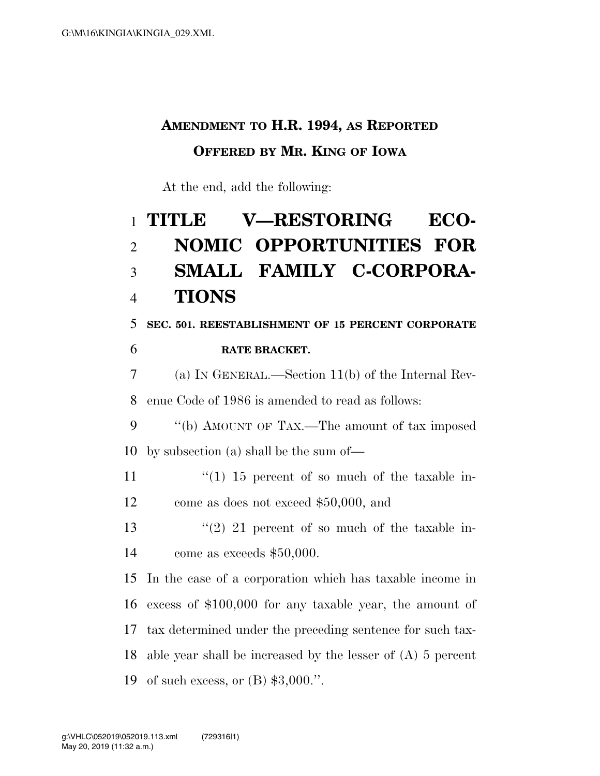## **AMENDMENT TO H.R. 1994, AS REPORTED OFFERED BY MR. KING OF IOWA**

At the end, add the following:

## **TITLE V—RESTORING ECO- NOMIC OPPORTUNITIES FOR SMALL FAMILY C-CORPORA-TIONS**

 **SEC. 501. REESTABLISHMENT OF 15 PERCENT CORPORATE RATE BRACKET.** 

 (a) IN GENERAL.—Section 11(b) of the Internal Rev-enue Code of 1986 is amended to read as follows:

 ''(b) AMOUNT OF TAX.—The amount of tax imposed by subsection (a) shall be the sum of—

11  $\frac{1}{10}$  15 percent of so much of the taxable in-come as does not exceed \$50,000, and

13 ''(2) 21 percent of so much of the taxable in-come as exceeds \$50,000.

 In the case of a corporation which has taxable income in excess of \$100,000 for any taxable year, the amount of tax determined under the preceding sentence for such tax- able year shall be increased by the lesser of (A) 5 percent of such excess, or (B) \$3,000.''.